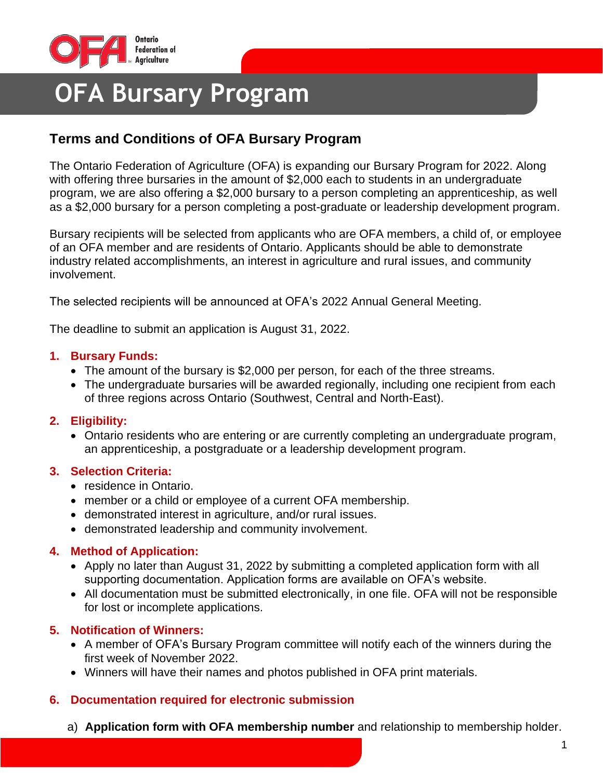

# **OFA Bursary Program**

## **Terms and Conditions of OFA Bursary Program**

The Ontario Federation of Agriculture (OFA) is expanding our Bursary Program for 2022. Along with offering three bursaries in the amount of \$2,000 each to students in an undergraduate program, we are also offering a \$2,000 bursary to a person completing an apprenticeship, as well as a \$2,000 bursary for a person completing a post-graduate or leadership development program.

Bursary recipients will be selected from applicants who are OFA members, a child of, or employee of an OFA member and are residents of Ontario. Applicants should be able to demonstrate industry related accomplishments, an interest in agriculture and rural issues, and community involvement.

The selected recipients will be announced at OFA's 2022 Annual General Meeting.

The deadline to submit an application is August 31, 2022.

#### **1. Bursary Funds:**

- The amount of the bursary is \$2,000 per person, for each of the three streams.
- The undergraduate bursaries will be awarded regionally, including one recipient from each of three regions across Ontario (Southwest, Central and North-East).

### **2. Eligibility:**

• Ontario residents who are entering or are currently completing an undergraduate program, an apprenticeship, a postgraduate or a leadership development program.

### **3. Selection Criteria:**

- residence in Ontario.
- member or a child or employee of a current OFA membership.
- demonstrated interest in agriculture, and/or rural issues.
- demonstrated leadership and community involvement.

### **4. Method of Application:**

- Apply no later than August 31, 2022 by submitting a completed application form with all supporting documentation. Application forms are available on OFA's website.
- All documentation must be submitted electronically, in one file. OFA will not be responsible for lost or incomplete applications.

### **5. Notification of Winners:**

- A member of OFA's Bursary Program committee will notify each of the winners during the first week of November 2022.
- Winners will have their names and photos published in OFA print materials.

### **6. Documentation required for electronic submission**

a) **Application form with OFA membership number** and relationship to membership holder.